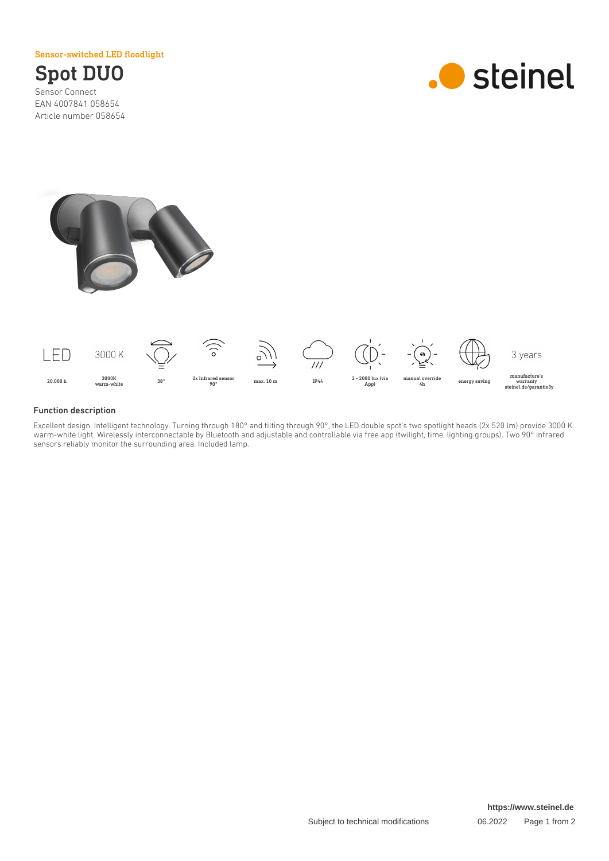Sensor-switched LED floodlight

# Spot DUO

Sensor Connect EAN 4007841 058654 Article number 058654







## Function description

Excellent design. Intelligent technology. Turning through 180° and tilting through 90°, the LED double spot's two spotlight heads (2x 520 lm) provide 3000 K warm-white light. Wirelessly interconnectable by Bluetooth and adjustable and controllable via free app (twilight, time, lighting groups). Two 90° infrared sensors reliably monitor the surrounding area. Included lamp.